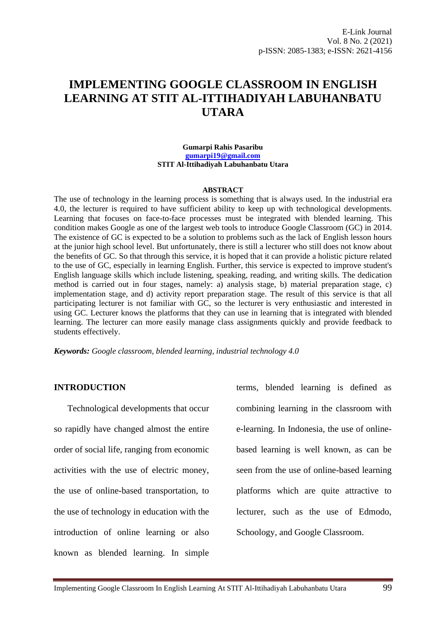# **IMPLEMENTING GOOGLE CLASSROOM IN ENGLISH LEARNING AT STIT AL-ITTIHADIYAH LABUHANBATU UTARA**

#### **Gumarpi Rahis Pasaribu [gumarpi19@gmail.com](mailto:gumarpi19@gmail.com) STIT Al-Ittihadiyah Labuhanbatu Utara**

#### **ABSTRACT**

The use of technology in the learning process is something that is always used. In the industrial era 4.0, the lecturer is required to have sufficient ability to keep up with technological developments. Learning that focuses on face-to-face processes must be integrated with blended learning. This condition makes Google as one of the largest web tools to introduce Google Classroom (GC) in 2014. The existence of GC is expected to be a solution to problems such as the lack of English lesson hours at the junior high school level. But unfortunately, there is still a lecturer who still does not know about the benefits of GC. So that through this service, it is hoped that it can provide a holistic picture related to the use of GC, especially in learning English. Further, this service is expected to improve student's English language skills which include listening, speaking, reading, and writing skills. The dedication method is carried out in four stages, namely: a) analysis stage, b) material preparation stage, c) implementation stage, and d) activity report preparation stage. The result of this service is that all participating lecturer is not familiar with GC, so the lecturer is very enthusiastic and interested in using GC. Lecturer knows the platforms that they can use in learning that is integrated with blended learning. The lecturer can more easily manage class assignments quickly and provide feedback to students effectively.

*Keywords: Google classroom, blended learning, industrial technology 4.0*

# **INTRODUCTION**

Technological developments that occur so rapidly have changed almost the entire order of social life, ranging from economic activities with the use of electric money, the use of online-based transportation, to the use of technology in education with the introduction of online learning or also known as blended learning. In simple

terms, blended learning is defined as combining learning in the classroom with e-learning. In Indonesia, the use of onlinebased learning is well known, as can be seen from the use of online-based learning platforms which are quite attractive to lecturer, such as the use of Edmodo, Schoology, and Google Classroom.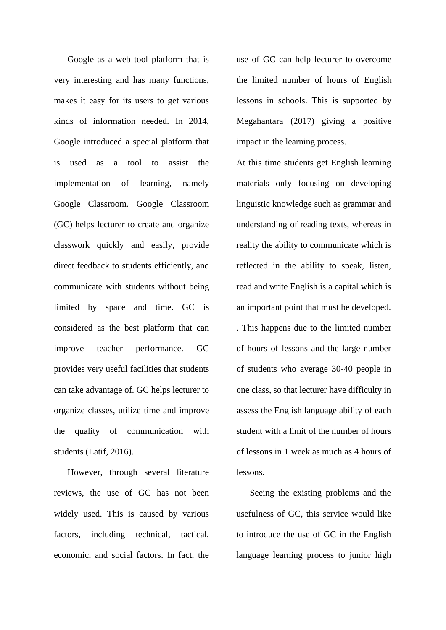Google as a web tool platform that is very interesting and has many functions, makes it easy for its users to get various kinds of information needed. In 2014, Google introduced a special platform that is used as a tool to assist the implementation of learning, namely Google Classroom. Google Classroom (GC) helps lecturer to create and organize classwork quickly and easily, provide direct feedback to students efficiently, and communicate with students without being limited by space and time. GC is considered as the best platform that can improve teacher performance. GC provides very useful facilities that students can take advantage of. GC helps lecturer to organize classes, utilize time and improve the quality of communication with students (Latif, 2016).

However, through several literature reviews, the use of GC has not been widely used. This is caused by various factors, including technical, tactical, economic, and social factors. In fact, the use of GC can help lecturer to overcome the limited number of hours of English lessons in schools. This is supported by Megahantara (2017) giving a positive impact in the learning process.

At this time students get English learning materials only focusing on developing linguistic knowledge such as grammar and understanding of reading texts, whereas in reality the ability to communicate which is reflected in the ability to speak, listen, read and write English is a capital which is an important point that must be developed. . This happens due to the limited number of hours of lessons and the large number of students who average 30-40 people in one class, so that lecturer have difficulty in assess the English language ability of each student with a limit of the number of hours of lessons in 1 week as much as 4 hours of lessons.

Seeing the existing problems and the usefulness of GC, this service would like to introduce the use of GC in the English language learning process to junior high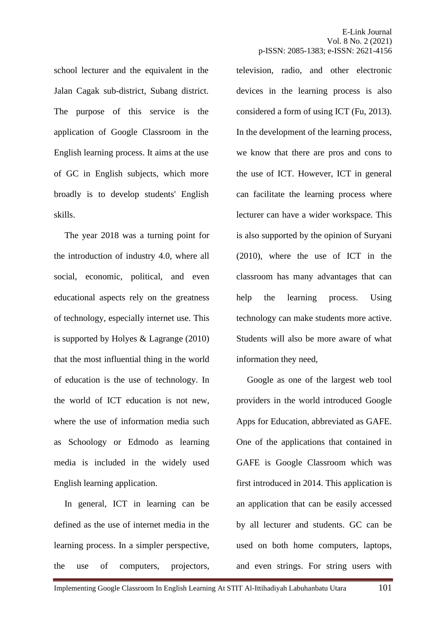school lecturer and the equivalent in the Jalan Cagak sub-district, Subang district. The purpose of this service is the application of Google Classroom in the English learning process. It aims at the use of GC in English subjects, which more broadly is to develop students' English skills.

The year 2018 was a turning point for the introduction of industry 4.0, where all social, economic, political, and even educational aspects rely on the greatness of technology, especially internet use. This is supported by Holyes & Lagrange (2010) that the most influential thing in the world of education is the use of technology. In the world of ICT education is not new, where the use of information media such as Schoology or Edmodo as learning media is included in the widely used English learning application.

In general, ICT in learning can be defined as the use of internet media in the learning process. In a simpler perspective, the use of computers, projectors,

television, radio, and other electronic devices in the learning process is also considered a form of using ICT (Fu, 2013). In the development of the learning process, we know that there are pros and cons to the use of ICT. However, ICT in general can facilitate the learning process where lecturer can have a wider workspace. This is also supported by the opinion of Suryani (2010), where the use of ICT in the classroom has many advantages that can help the learning process. Using technology can make students more active. Students will also be more aware of what information they need,

Google as one of the largest web tool providers in the world introduced Google Apps for Education, abbreviated as GAFE. One of the applications that contained in GAFE is Google Classroom which was first introduced in 2014. This application is an application that can be easily accessed by all lecturer and students. GC can be used on both home computers, laptops, and even strings. For string users with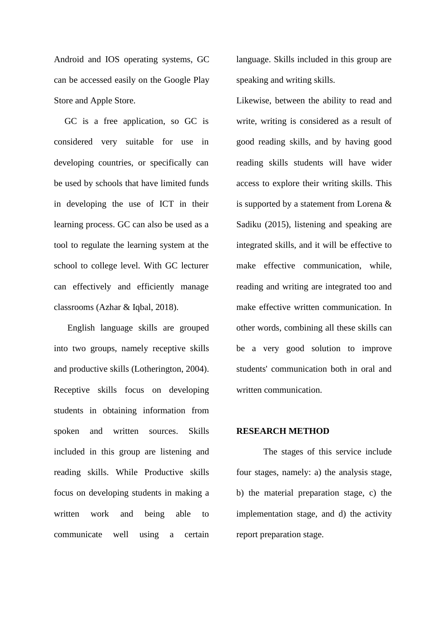Android and IOS operating systems, GC can be accessed easily on the Google Play Store and Apple Store.

GC is a free application, so GC is considered very suitable for use in developing countries, or specifically can be used by schools that have limited funds in developing the use of ICT in their learning process. GC can also be used as a tool to regulate the learning system at the school to college level. With GC lecturer can effectively and efficiently manage classrooms (Azhar & Iqbal, 2018).

English language skills are grouped into two groups, namely receptive skills and productive skills (Lotherington, 2004). Receptive skills focus on developing students in obtaining information from spoken and written sources. Skills included in this group are listening and reading skills. While Productive skills focus on developing students in making a written work and being able to communicate well using a certain

language. Skills included in this group are speaking and writing skills.

Likewise, between the ability to read and write, writing is considered as a result of good reading skills, and by having good reading skills students will have wider access to explore their writing skills. This is supported by a statement from Lorena & Sadiku (2015), listening and speaking are integrated skills, and it will be effective to make effective communication, while, reading and writing are integrated too and make effective written communication. In other words, combining all these skills can be a very good solution to improve students' communication both in oral and written communication.

# **RESEARCH METHOD**

The stages of this service include four stages, namely: a) the analysis stage, b) the material preparation stage, c) the implementation stage, and d) the activity report preparation stage.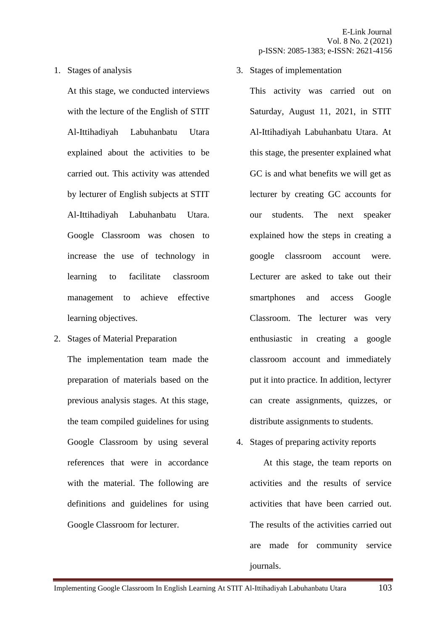E-Link Journal Vol. 8 No. 2 (2021) p-ISSN: [2085-1383;](http://issn.pdii.lipi.go.id/issn.cgi?daftar&&&&&2085-1383) e-ISSN: 2621-4156

1. Stages of analysis

At this stage, we conducted interviews with the lecture of the English of STIT Al-Ittihadiyah Labuhanbatu Utara explained about the activities to be carried out. This activity was attended by lecturer of English subjects at STIT Al-Ittihadiyah Labuhanbatu Utara. Google Classroom was chosen to increase the use of technology in learning to facilitate classroom management to achieve effective learning objectives.

2. Stages of Material Preparation The implementation team made the preparation of materials based on the previous analysis stages. At this stage, the team compiled guidelines for using Google Classroom by using several references that were in accordance with the material. The following are definitions and guidelines for using Google Classroom for lecturer.

3. Stages of implementation

This activity was carried out on Saturday, August 11, 2021, in STIT Al-Ittihadiyah Labuhanbatu Utara. At this stage, the presenter explained what GC is and what benefits we will get as lecturer by creating GC accounts for our students. The next speaker explained how the steps in creating a google classroom account were. Lecturer are asked to take out their smartphones and access Google Classroom. The lecturer was very enthusiastic in creating a google classroom account and immediately put it into practice. In addition, lectyrer can create assignments, quizzes, or distribute assignments to students.

4. Stages of preparing activity reports

At this stage, the team reports on activities and the results of service activities that have been carried out. The results of the activities carried out are made for community service journals.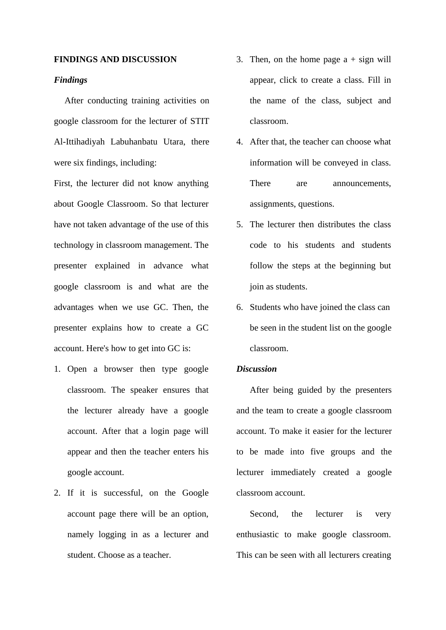#### **FINDINGS AND DISCUSSION**

## *Findings*

After conducting training activities on google classroom for the lecturer of STIT Al-Ittihadiyah Labuhanbatu Utara, there were six findings, including:

First, the lecturer did not know anything about Google Classroom. So that lecturer have not taken advantage of the use of this technology in classroom management. The presenter explained in advance what google classroom is and what are the advantages when we use GC. Then, the presenter explains how to create a GC account. Here's how to get into GC is:

- 1. Open a browser then type google classroom. The speaker ensures that the lecturer already have a google account. After that a login page will appear and then the teacher enters his google account.
- 2. If it is successful, on the Google account page there will be an option, namely logging in as a lecturer and student. Choose as a teacher.
- 3. Then, on the home page  $a + sign$  will appear, click to create a class. Fill in the name of the class, subject and classroom.
- 4. After that, the teacher can choose what information will be conveyed in class. There are announcements. assignments, questions.
- 5. The lecturer then distributes the class code to his students and students follow the steps at the beginning but join as students.
- 6. Students who have joined the class can be seen in the student list on the google classroom.

# *Discussion*

After being guided by the presenters and the team to create a google classroom account. To make it easier for the lecturer to be made into five groups and the lecturer immediately created a google classroom account.

Second, the lecturer is very enthusiastic to make google classroom. This can be seen with all lecturers creating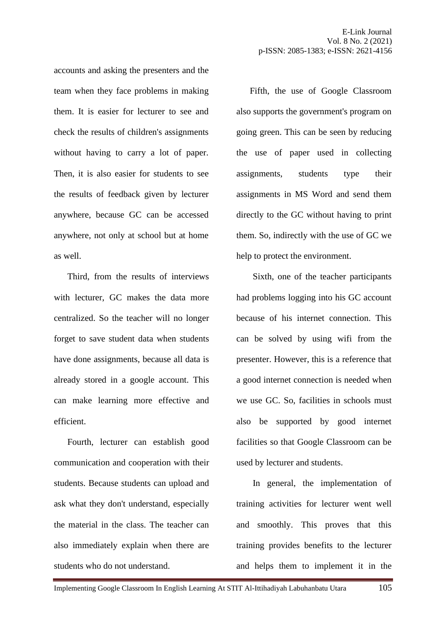accounts and asking the presenters and the team when they face problems in making them. It is easier for lecturer to see and check the results of children's assignments without having to carry a lot of paper. Then, it is also easier for students to see the results of feedback given by lecturer anywhere, because GC can be accessed anywhere, not only at school but at home as well.

Third, from the results of interviews with lecturer, GC makes the data more centralized. So the teacher will no longer forget to save student data when students have done assignments, because all data is already stored in a google account. This can make learning more effective and efficient.

Fourth, lecturer can establish good communication and cooperation with their students. Because students can upload and ask what they don't understand, especially the material in the class. The teacher can also immediately explain when there are students who do not understand.

Fifth, the use of Google Classroom also supports the government's program on going green. This can be seen by reducing the use of paper used in collecting assignments, students type their assignments in MS Word and send them directly to the GC without having to print them. So, indirectly with the use of GC we help to protect the environment.

Sixth, one of the teacher participants had problems logging into his GC account because of his internet connection. This can be solved by using wifi from the presenter. However, this is a reference that a good internet connection is needed when we use GC. So, facilities in schools must also be supported by good internet facilities so that Google Classroom can be used by lecturer and students.

In general, the implementation of training activities for lecturer went well and smoothly. This proves that this training provides benefits to the lecturer and helps them to implement it in the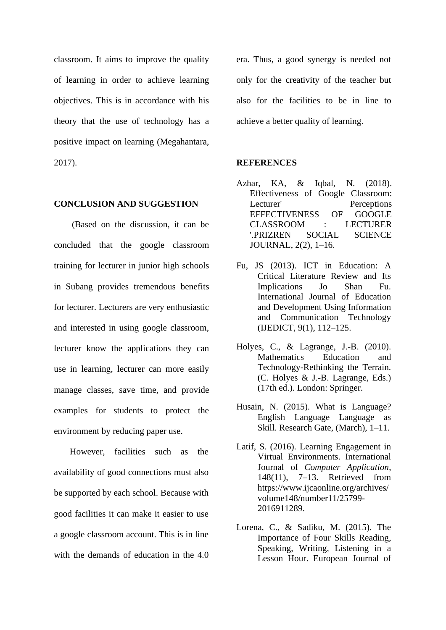classroom. It aims to improve the quality of learning in order to achieve learning objectives. This is in accordance with his theory that the use of technology has a positive impact on learning (Megahantara, 2017).

## **CONCLUSION AND SUGGESTION**

(Based on the discussion, it can be concluded that the google classroom training for lecturer in junior high schools in Subang provides tremendous benefits for lecturer. Lecturers are very enthusiastic and interested in using google classroom, lecturer know the applications they can use in learning, lecturer can more easily manage classes, save time, and provide examples for students to protect the environment by reducing paper use.

However, facilities such as the availability of good connections must also be supported by each school. Because with good facilities it can make it easier to use a google classroom account. This is in line with the demands of education in the 4.0

era. Thus, a good synergy is needed not only for the creativity of the teacher but also for the facilities to be in line to achieve a better quality of learning.

# **REFERENCES**

- Azhar, KA, & Iqbal, N. (2018). Effectiveness of Google Classroom: Lecturer' Perceptions EFFECTIVENESS OF GOOGLE CLASSROOM : LECTURER '.PRIZREN SOCIAL SCIENCE JOURNAL, 2(2), 1–16.
- Fu, JS (2013). ICT in Education: A Critical Literature Review and Its Implications Jo Shan Fu. International Journal of Education and Development Using Information and Communication Technology (IJEDICT, 9(1), 112–125.
- Holyes, C., & Lagrange, J.-B. (2010). Mathematics Education and Technology-Rethinking the Terrain. (C. Holyes & J.-B. Lagrange, Eds.) (17th ed.). London: Springer.
- Husain, N. (2015). What is Language? English Language Language as Skill. Research Gate, (March), 1–11.
- Latif, S. (2016). Learning Engagement in Virtual Environments. International Journal of *Computer Application*, 148(11), 7–13. Retrieved from https://www.ijcaonline.org/archives/ volume148/number11/25799- 2016911289.
- Lorena, C., & Sadiku, M. (2015). The Importance of Four Skills Reading, Speaking, Writing, Listening in a Lesson Hour. European Journal of